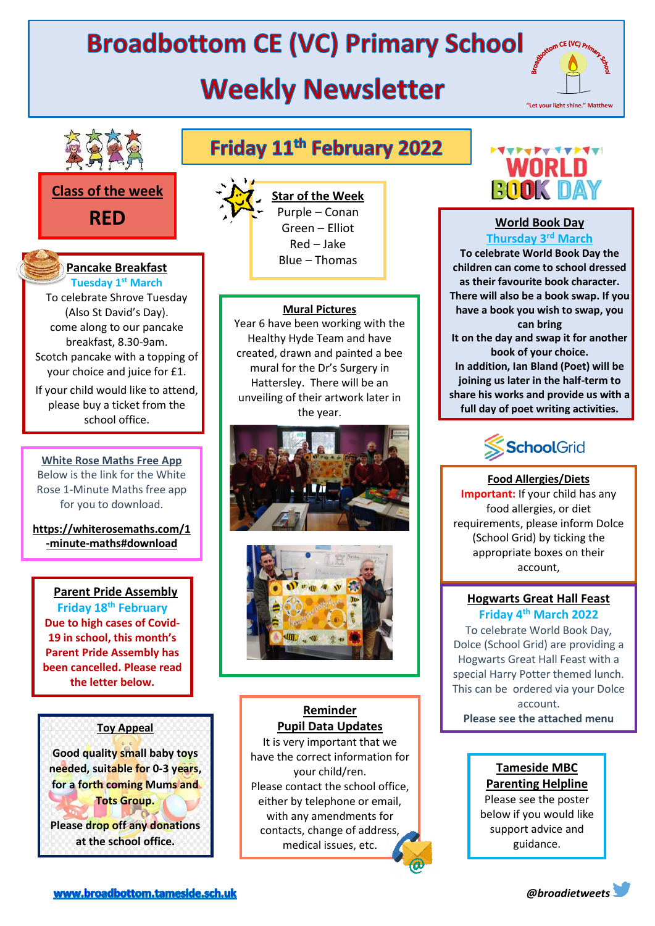# **Broadbottom CE (VC) Primary School**

# **Weekly Newsletter**





#### **Class of the week**

**RED**

#### **Pancake Breakfast Tuesday 1st March**

To celebrate Shrove Tuesday (Also St David's Day). come along to our pancake breakfast, 8.30-9am. Scotch pancake with a topping of your choice and juice for £1.

If your child would like to attend, please buy a ticket from the school office.

**White Rose Maths Free App** Below is the link for the White Rose 1-Minute Maths free app for you to download.

**https://whiterosemaths.com/1 -minute-maths#download**

#### **Parent Pride Assembly**

**Friday 18 th February Due to high cases of Covid-19 in school, this month's Parent Pride Assembly has been cancelled. Please read the letter below.**

#### **Toy Appeal**

**Good quality small baby toys needed, suitable for 0-3 years, for a forth coming Mums and Tots Group. Please drop off any donations at the school office.**

## Friday 11<sup>th</sup> February 2022



**Star of the Week** Purple – Conan Green – Elliot Red – Jake Blue – Thomas

#### **Mural Pictures**

Year 6 have been working with the Healthy Hyde Team and have created, drawn and painted a bee mural for the Dr's Surgery in Hattersley. There will be an unveiling of their artwork later in the year.





#### **Reminder Pupil Data Updates**

It is very important that we have the correct information for your child/ren. Please contact the school office, either by telephone or email, with any amendments for contacts, change of address, medical issues, etc.



**5:16**

#### **World Book Day**

**Thursday 3rd March To celebrate World Book Day the children can come to school dressed as their favourite book character. There will also be a book swap. If you have a book you wish to swap, you can bring It on the day and swap it for another book of your choice. In addition, Ian Bland (Poet) will be joining us later in the half-term to share his works and provide us with a full day of poet writing activities.**



**Food Allergies/Diets Important:** If your child has any food allergies, or diet requirements, please inform Dolce (School Grid) by ticking the appropriate boxes on their account,

#### **Hogwarts Great Hall Feast Friday 4th March 2022**

under **Diet and Allergens.**

To celebrate World Book Day, Dolce (School Grid) are providing a Hogwarts Great Hall Feast with a special Harry Potter themed lunch. This can be ordered via your Dolce account. **Please see the attached menu**

#### **Tameside MBC Parenting Helpline**

Please see the poster below if you would like support advice and guidance.

www.broadbottom.tameside.sch.uk

*@broadietweets*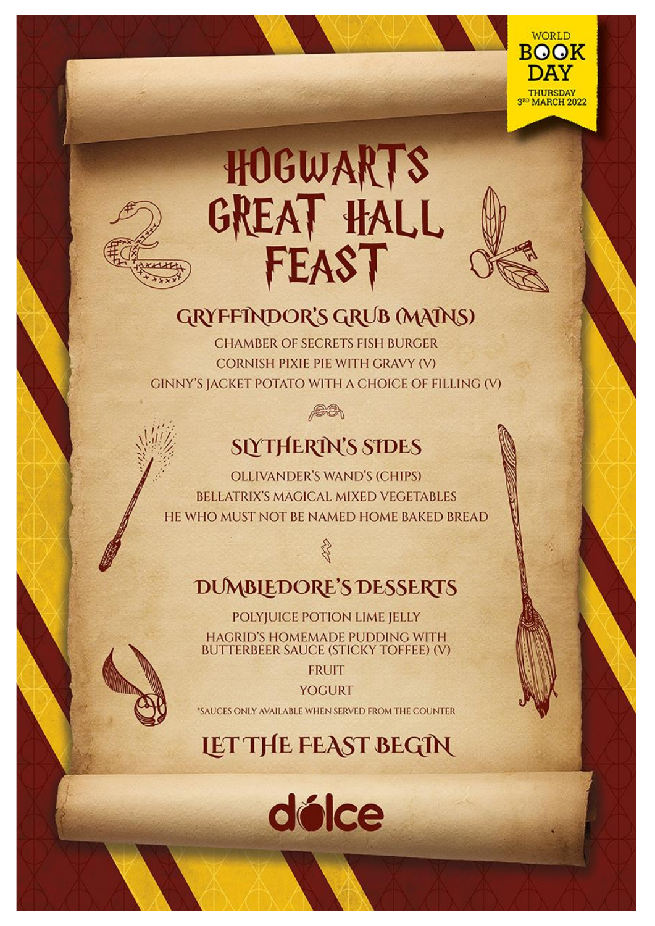

# HOGWARTS<br>GREAT HALL FEAST

## **GRYFFINDOR'S GRUB (MAINS)**

**CHAMBER OF SECRETS FISH BURGER CORNISH PIXIE PIE WITH GRAVY (V) GINNY'S JACKET POTATO WITH A CHOICE OF FILLING (V)** 



## **SIYTHERIN'S SIDES**

**OLLIVANDER'S WAND'S (CHIPS) BELLATRIX'S MAGICAL MIXED VEGETABLES** HE WHO MUST NOT BE NAMED HOME BAKED BREAD

## **DUMBLEDORE'S DESSERTS**

U

POLYJUICE POTION LIME JELLY HAGRID'S HOMEMADE PUDDING WITH **BUTTERBEER SAUCE (STICKY TOFFEE) (V)** 

**FRUIT** 

**YOGURT** 

\*SAUCES ONLY AVAILABLE WHEN SERVED FROM THE COUNTER

## **LET THE FEAST BEGIN**

délce